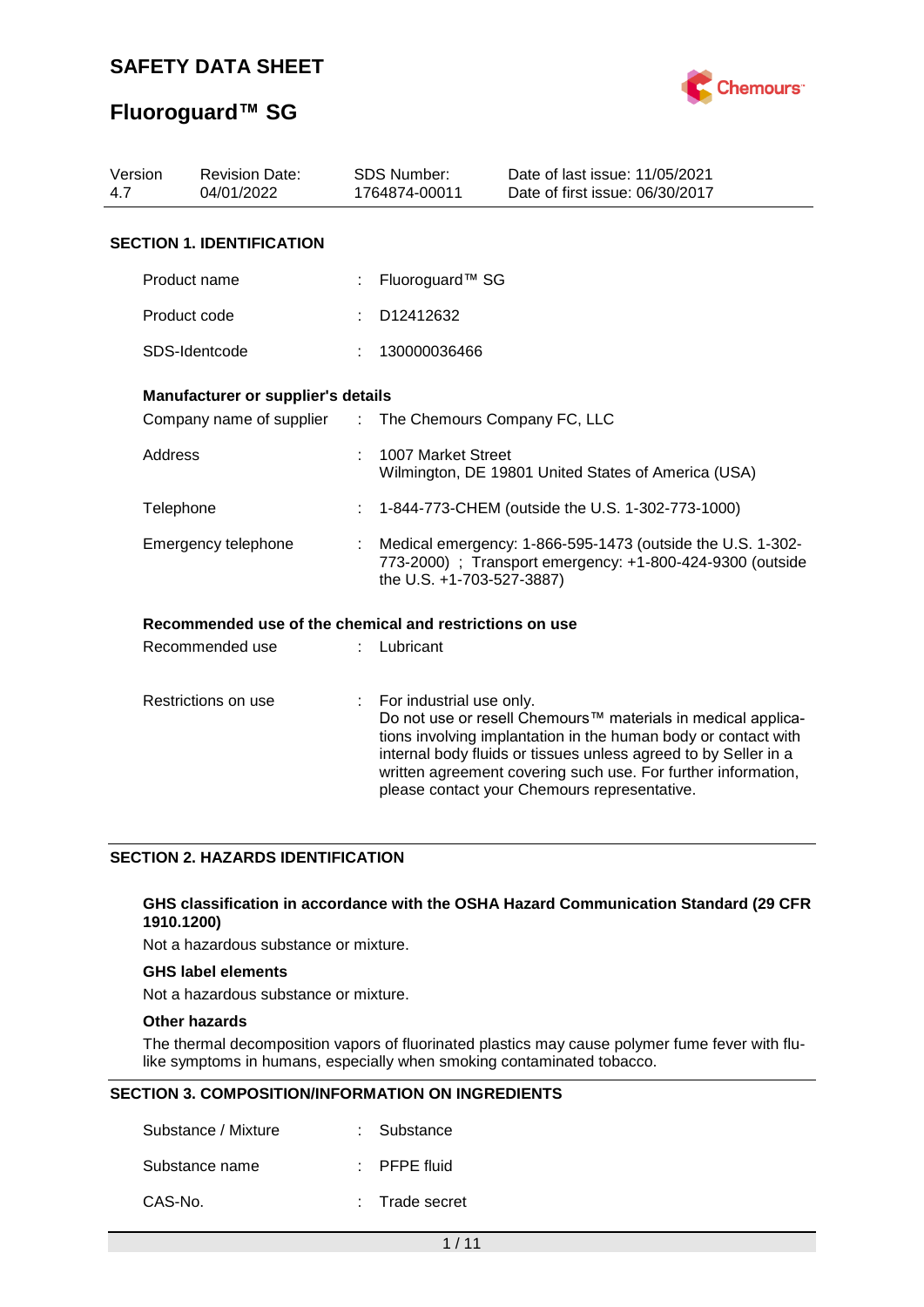

# **Fluoroguard™ SG**

| Version<br><b>Revision Date:</b><br>4.7<br>04/01/2022 |                                                         |    | <b>SDS Number:</b><br>1764874-00011                                                                                                                  | Date of last issue: 11/05/2021<br>Date of first issue: 06/30/2017                                                                                                                                                                                                                                                  |  |
|-------------------------------------------------------|---------------------------------------------------------|----|------------------------------------------------------------------------------------------------------------------------------------------------------|--------------------------------------------------------------------------------------------------------------------------------------------------------------------------------------------------------------------------------------------------------------------------------------------------------------------|--|
|                                                       | <b>SECTION 1. IDENTIFICATION</b>                        |    |                                                                                                                                                      |                                                                                                                                                                                                                                                                                                                    |  |
|                                                       | Product name                                            |    | Fluoroguard™ SG                                                                                                                                      |                                                                                                                                                                                                                                                                                                                    |  |
|                                                       | Product code                                            |    | D12412632                                                                                                                                            |                                                                                                                                                                                                                                                                                                                    |  |
|                                                       | SDS-Identcode                                           |    | 130000036466                                                                                                                                         |                                                                                                                                                                                                                                                                                                                    |  |
|                                                       | Manufacturer or supplier's details                      |    |                                                                                                                                                      |                                                                                                                                                                                                                                                                                                                    |  |
|                                                       | Company name of supplier :                              |    | The Chemours Company FC, LLC                                                                                                                         |                                                                                                                                                                                                                                                                                                                    |  |
|                                                       | <b>Address</b>                                          |    | 1007 Market Street<br>Wilmington, DE 19801 United States of America (USA)                                                                            |                                                                                                                                                                                                                                                                                                                    |  |
| Telephone                                             |                                                         |    |                                                                                                                                                      | 1-844-773-CHEM (outside the U.S. 1-302-773-1000)                                                                                                                                                                                                                                                                   |  |
| Emergency telephone                                   |                                                         |    | Medical emergency: 1-866-595-1473 (outside the U.S. 1-302-<br>773-2000) ; Transport emergency: +1-800-424-9300 (outside<br>the U.S. +1-703-527-3887) |                                                                                                                                                                                                                                                                                                                    |  |
|                                                       | Recommended use of the chemical and restrictions on use |    |                                                                                                                                                      |                                                                                                                                                                                                                                                                                                                    |  |
|                                                       | Recommended use                                         |    | Lubricant                                                                                                                                            |                                                                                                                                                                                                                                                                                                                    |  |
|                                                       | Restrictions on use                                     | ÷. | For industrial use only.                                                                                                                             | Do not use or resell Chemours™ materials in medical applica-<br>tions involving implantation in the human body or contact with<br>internal body fluids or tissues unless agreed to by Seller in a<br>written agreement covering such use. For further information,<br>please contact your Chemours representative. |  |

## **SECTION 2. HAZARDS IDENTIFICATION**

#### **GHS classification in accordance with the OSHA Hazard Communication Standard (29 CFR 1910.1200)**

Not a hazardous substance or mixture.

## **GHS label elements**

Not a hazardous substance or mixture.

### **Other hazards**

The thermal decomposition vapors of fluorinated plastics may cause polymer fume fever with flulike symptoms in humans, especially when smoking contaminated tobacco.

### **SECTION 3. COMPOSITION/INFORMATION ON INGREDIENTS**

| Substance / Mixture | : Substance             |
|---------------------|-------------------------|
| Substance name      | $\therefore$ PFPE fluid |
| CAS-No.             | : Trade secret          |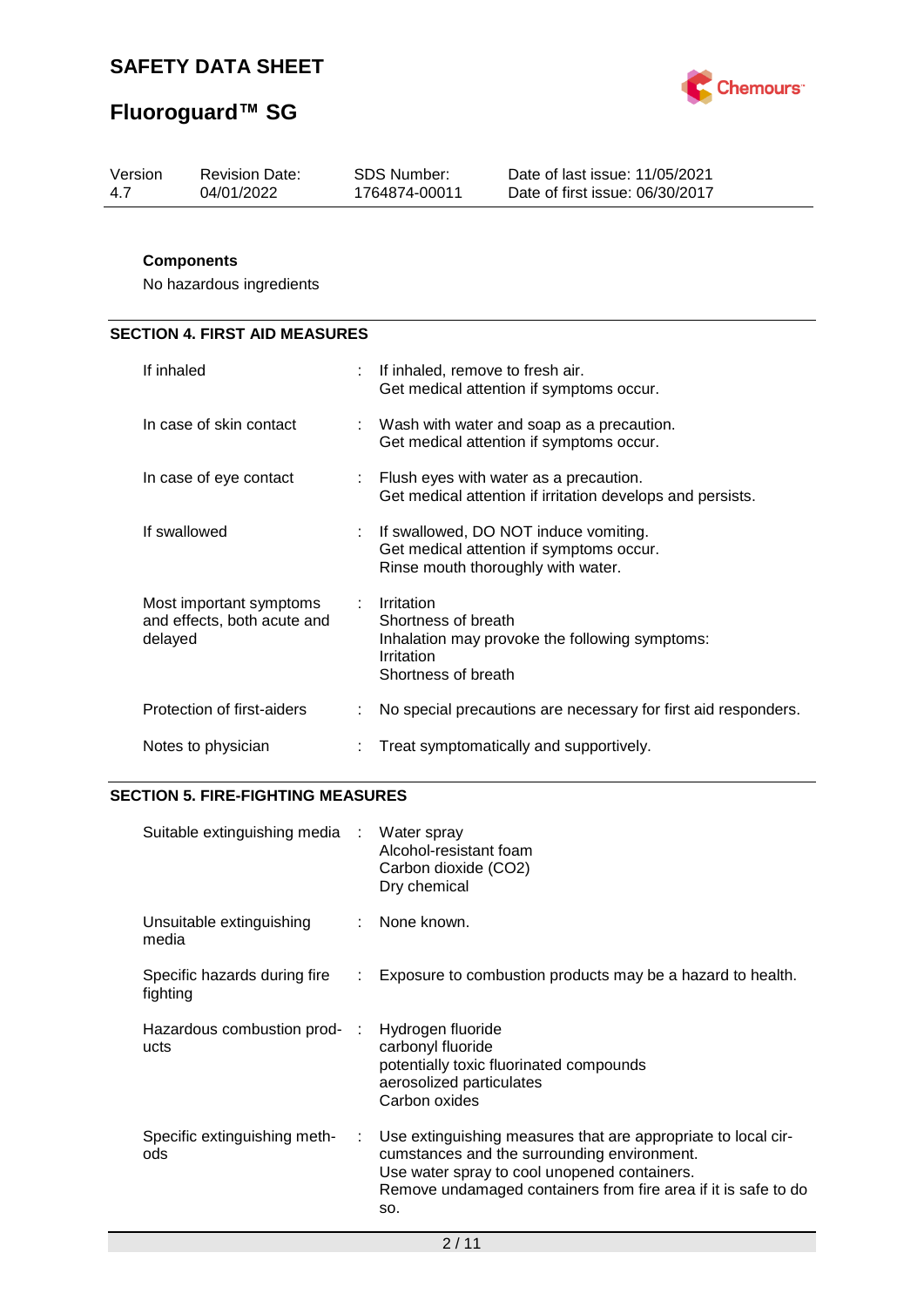# **Fluoroguard™ SG**



| Version | Revision Date: | SDS Number:   | Date of last issue: 11/05/2021  |
|---------|----------------|---------------|---------------------------------|
| -47     | 04/01/2022     | 1764874-00011 | Date of first issue: 06/30/2017 |
|         |                |               |                                 |

## **Components**

No hazardous ingredients

## **SECTION 4. FIRST AID MEASURES**

| If inhaled                                                        | If inhaled, remove to fresh air.<br>Get medical attention if symptoms occur.                                             |
|-------------------------------------------------------------------|--------------------------------------------------------------------------------------------------------------------------|
| In case of skin contact                                           | : Wash with water and soap as a precaution.<br>Get medical attention if symptoms occur.                                  |
| In case of eye contact                                            | : Flush eyes with water as a precaution.<br>Get medical attention if irritation develops and persists.                   |
| If swallowed                                                      | If swallowed, DO NOT induce vomiting.<br>Get medical attention if symptoms occur.<br>Rinse mouth thoroughly with water.  |
| Most important symptoms<br>and effects, both acute and<br>delayed | Irritation<br>Shortness of breath<br>Inhalation may provoke the following symptoms:<br>Irritation<br>Shortness of breath |
| Protection of first-aiders                                        | No special precautions are necessary for first aid responders.                                                           |
| Notes to physician                                                | Treat symptomatically and supportively.                                                                                  |

## **SECTION 5. FIRE-FIGHTING MEASURES**

| Suitable extinguishing media :           |    | Water spray<br>Alcohol-resistant foam<br>Carbon dioxide (CO2)<br>Dry chemical                                                                                                                                                         |
|------------------------------------------|----|---------------------------------------------------------------------------------------------------------------------------------------------------------------------------------------------------------------------------------------|
| Unsuitable extinguishing<br>media        |    | None known.                                                                                                                                                                                                                           |
| Specific hazards during fire<br>fighting |    | Exposure to combustion products may be a hazard to health.                                                                                                                                                                            |
| Hazardous combustion prod-:<br>ucts      |    | Hydrogen fluoride<br>carbonyl fluoride<br>potentially toxic fluorinated compounds<br>aerosolized particulates<br>Carbon oxides                                                                                                        |
| Specific extinguishing meth-<br>ods      | ÷. | Use extinguishing measures that are appropriate to local cir-<br>cumstances and the surrounding environment.<br>Use water spray to cool unopened containers.<br>Remove undamaged containers from fire area if it is safe to do<br>SO. |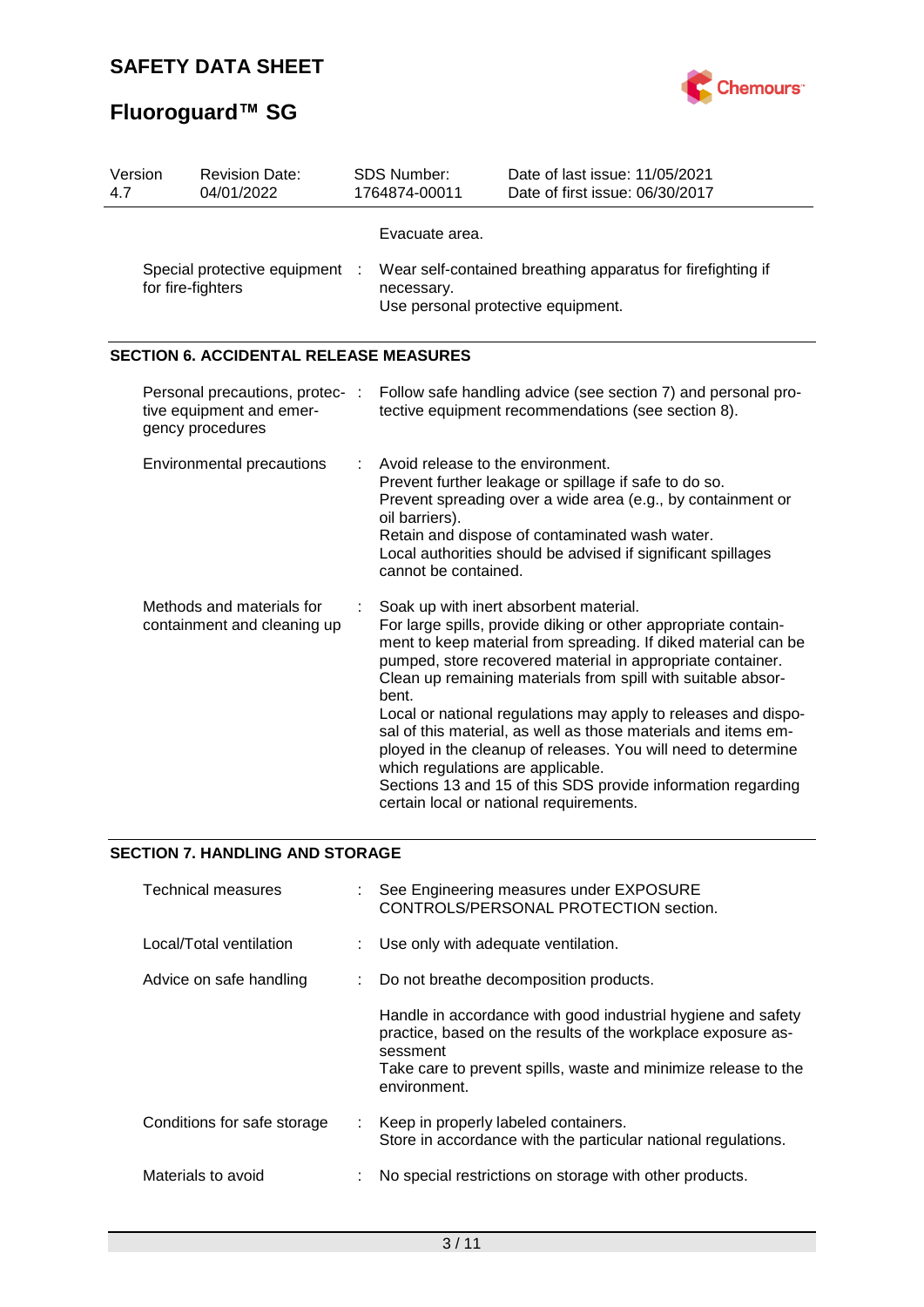# **Fluoroguard™ SG**



| Version<br>4.7 |                                                          | <b>Revision Date:</b><br>04/01/2022                                             | SDS Number:<br>1764874-00011                                                                                                                                                                                                                                                                                                                                                                                                                                                                                                                                                                                                                                           | Date of last issue: 11/05/2021<br>Date of first issue: 06/30/2017                                                   |  |
|----------------|----------------------------------------------------------|---------------------------------------------------------------------------------|------------------------------------------------------------------------------------------------------------------------------------------------------------------------------------------------------------------------------------------------------------------------------------------------------------------------------------------------------------------------------------------------------------------------------------------------------------------------------------------------------------------------------------------------------------------------------------------------------------------------------------------------------------------------|---------------------------------------------------------------------------------------------------------------------|--|
|                | for fire-fighters                                        | Special protective equipment :                                                  | Evacuate area.<br>necessary.<br>Use personal protective equipment.                                                                                                                                                                                                                                                                                                                                                                                                                                                                                                                                                                                                     | Wear self-contained breathing apparatus for firefighting if                                                         |  |
|                |                                                          | <b>SECTION 6. ACCIDENTAL RELEASE MEASURES</b>                                   |                                                                                                                                                                                                                                                                                                                                                                                                                                                                                                                                                                                                                                                                        |                                                                                                                     |  |
|                |                                                          | Personal precautions, protec- :<br>tive equipment and emer-<br>gency procedures |                                                                                                                                                                                                                                                                                                                                                                                                                                                                                                                                                                                                                                                                        | Follow safe handling advice (see section 7) and personal pro-<br>tective equipment recommendations (see section 8). |  |
|                |                                                          | Environmental precautions                                                       | Avoid release to the environment.<br>Prevent further leakage or spillage if safe to do so.<br>Prevent spreading over a wide area (e.g., by containment or<br>oil barriers).<br>Retain and dispose of contaminated wash water.<br>Local authorities should be advised if significant spillages<br>cannot be contained.                                                                                                                                                                                                                                                                                                                                                  |                                                                                                                     |  |
|                | Methods and materials for<br>containment and cleaning up |                                                                                 | Soak up with inert absorbent material.<br>For large spills, provide diking or other appropriate contain-<br>ment to keep material from spreading. If diked material can be<br>pumped, store recovered material in appropriate container.<br>Clean up remaining materials from spill with suitable absor-<br>bent.<br>Local or national regulations may apply to releases and dispo-<br>sal of this material, as well as those materials and items em-<br>ployed in the cleanup of releases. You will need to determine<br>which regulations are applicable.<br>Sections 13 and 15 of this SDS provide information regarding<br>certain local or national requirements. |                                                                                                                     |  |

## **SECTION 7. HANDLING AND STORAGE**

| <b>Technical measures</b>   |    | : See Engineering measures under EXPOSURE<br>CONTROLS/PERSONAL PROTECTION section.                                                                                                                                         |
|-----------------------------|----|----------------------------------------------------------------------------------------------------------------------------------------------------------------------------------------------------------------------------|
| Local/Total ventilation     |    | : Use only with adequate ventilation.                                                                                                                                                                                      |
| Advice on safe handling     | ÷. | Do not breathe decomposition products.                                                                                                                                                                                     |
|                             |    | Handle in accordance with good industrial hygiene and safety<br>practice, based on the results of the workplace exposure as-<br>sessment<br>Take care to prevent spills, waste and minimize release to the<br>environment. |
| Conditions for safe storage | t. | Keep in properly labeled containers.<br>Store in accordance with the particular national regulations.                                                                                                                      |
| Materials to avoid          |    | No special restrictions on storage with other products.                                                                                                                                                                    |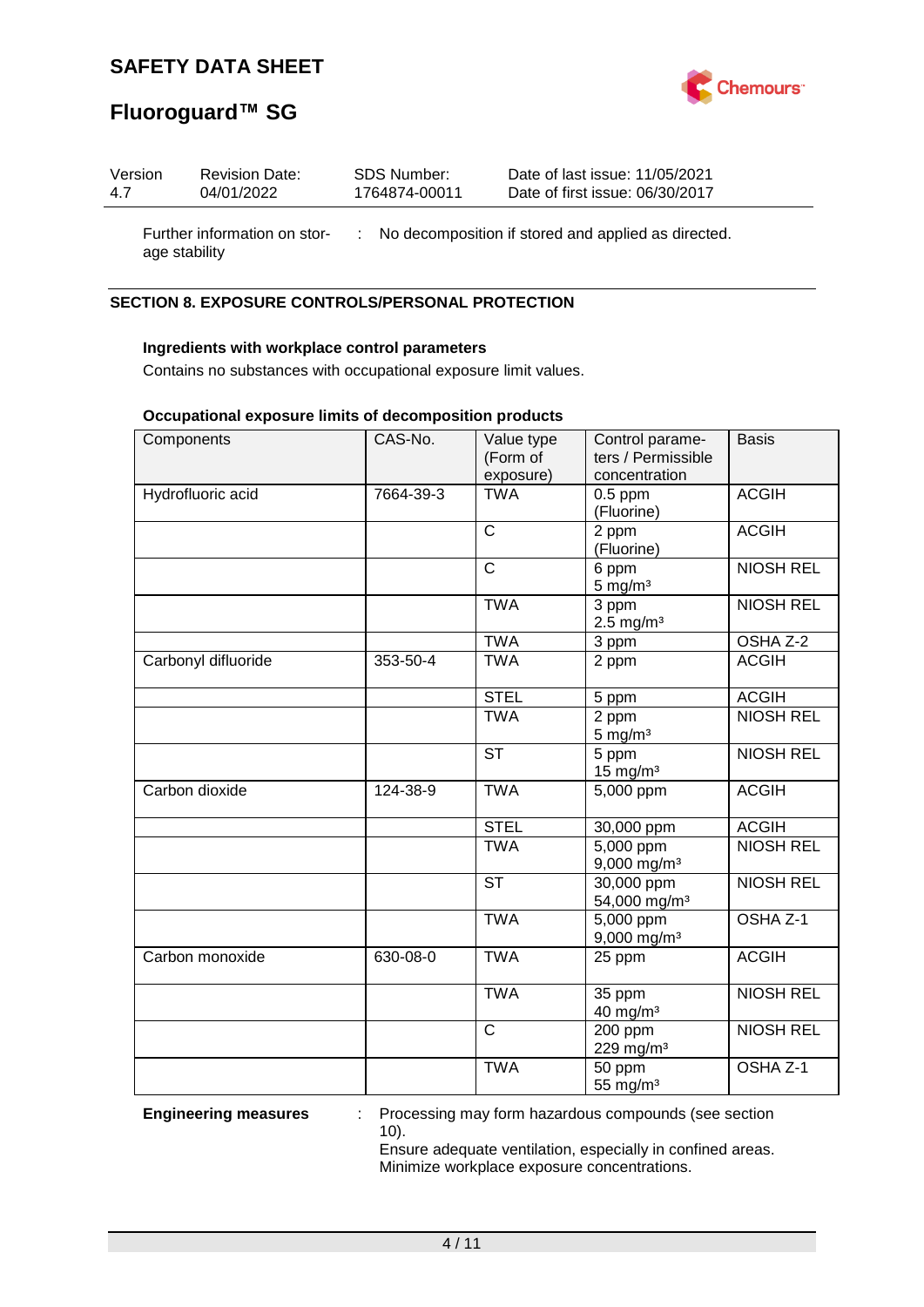

# **Fluoroguard™ SG**

age stability

| Version | <b>Revision Date:</b>        | SDS Number:   | Date of last issue: 11/05/2021                        |
|---------|------------------------------|---------------|-------------------------------------------------------|
| 4.7     | 04/01/2022                   | 1764874-00011 | Date of first issue: 06/30/2017                       |
|         | Further information on stor- |               | : No decomposition if stored and applied as directed. |

### **SECTION 8. EXPOSURE CONTROLS/PERSONAL PROTECTION**

## **Ingredients with workplace control parameters**

Contains no substances with occupational exposure limit values.

#### **Occupational exposure limits of decomposition products**

| Components          | CAS-No.   | Value type<br>(Form of | Control parame-<br>ters / Permissible               | <b>Basis</b>        |
|---------------------|-----------|------------------------|-----------------------------------------------------|---------------------|
|                     |           | exposure)              | concentration                                       |                     |
| Hydrofluoric acid   | 7664-39-3 | <b>TWA</b>             | $0.5$ ppm<br>(Fluorine)                             | <b>ACGIH</b>        |
|                     |           | $\mathsf{C}$           | 2 ppm<br>(Fluorine)                                 | <b>ACGIH</b>        |
|                     |           | $\mathsf{C}$           | 6 ppm<br>$5$ mg/m $3$                               | <b>NIOSH REL</b>    |
|                     |           | <b>TWA</b>             | $\overline{3}$ ppm<br>$2.5$ mg/m <sup>3</sup>       | <b>NIOSH REL</b>    |
|                     |           | <b>TWA</b>             | 3 ppm                                               | OSHA Z-2            |
| Carbonyl difluoride | 353-50-4  | <b>TWA</b>             | 2 ppm                                               | <b>ACGIH</b>        |
|                     |           | <b>STEL</b>            | 5 ppm                                               | <b>ACGIH</b>        |
|                     |           | <b>TWA</b>             | 2 ppm<br>$5 \text{ mg/m}^3$                         | <b>NIOSH REL</b>    |
|                     |           | <b>ST</b>              | 5 ppm<br>$15$ mg/m <sup>3</sup>                     | <b>NIOSH REL</b>    |
| Carbon dioxide      | 124-38-9  | <b>TWA</b>             | 5,000 ppm                                           | <b>ACGIH</b>        |
|                     |           | <b>STEL</b>            | 30,000 ppm                                          | <b>ACGIH</b>        |
|                     |           | <b>TWA</b>             | $\overline{5,000}$ ppm<br>$9,000$ mg/m <sup>3</sup> | <b>NIOSH REL</b>    |
|                     |           | <b>ST</b>              | 30,000 ppm<br>54,000 mg/m <sup>3</sup>              | <b>NIOSH REL</b>    |
|                     |           | <b>TWA</b>             | 5,000 ppm<br>9,000 mg/m <sup>3</sup>                | OSHA <sub>Z-1</sub> |
| Carbon monoxide     | 630-08-0  | <b>TWA</b>             | 25 ppm                                              | <b>ACGIH</b>        |
|                     |           | <b>TWA</b>             | 35 ppm<br>40 mg/m <sup>3</sup>                      | <b>NIOSH REL</b>    |
|                     |           | $\mathsf{C}$           | $200$ ppm<br>229 mg/m <sup>3</sup>                  | <b>NIOSH REL</b>    |
|                     |           | <b>TWA</b>             | 50 ppm<br>55 mg/m <sup>3</sup>                      | OSHA Z-1            |

**Engineering measures** : Processing may form hazardous compounds (see section 10).

> Ensure adequate ventilation, especially in confined areas. Minimize workplace exposure concentrations.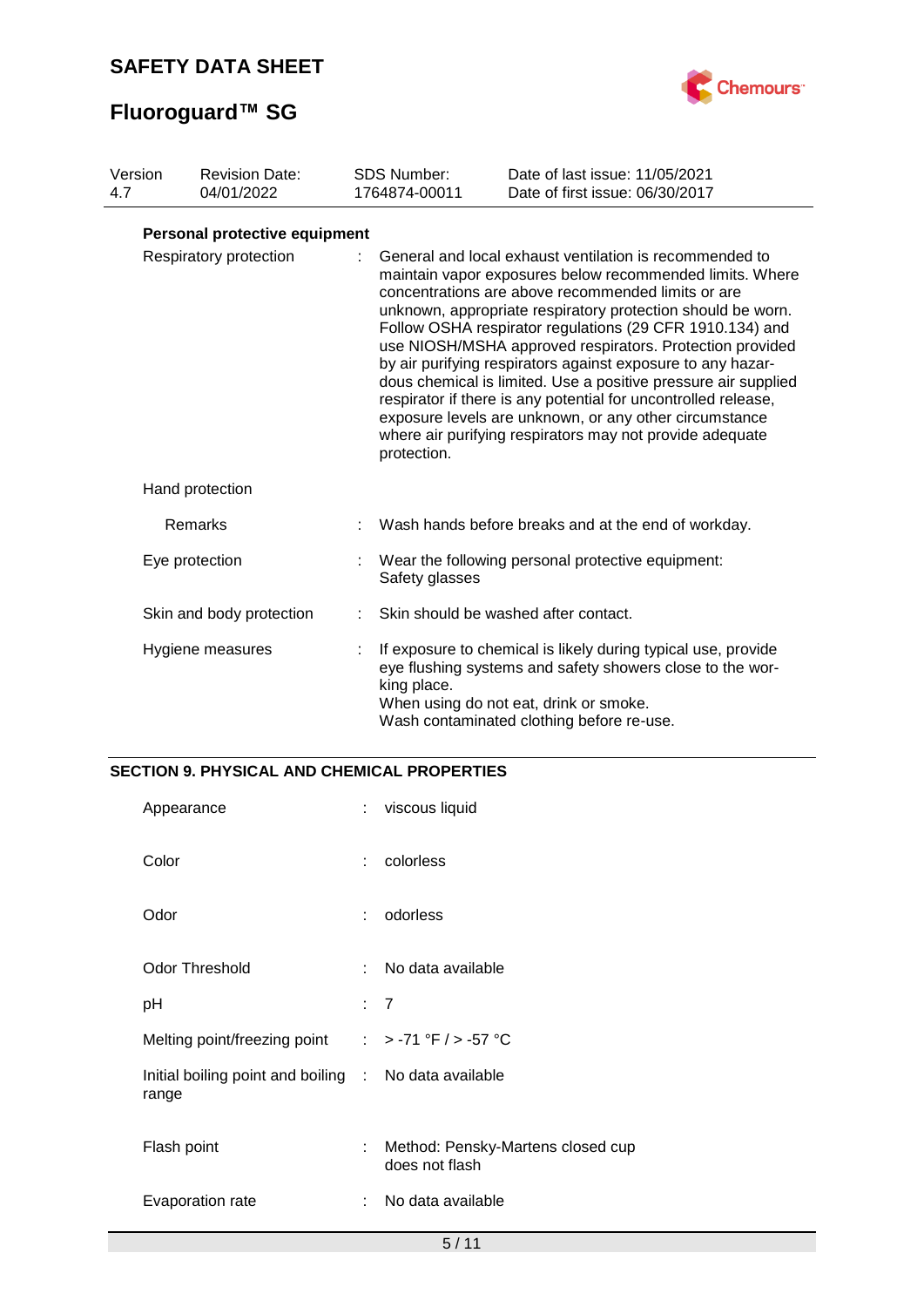

# **Fluoroguard™ SG**

| Version<br>4.7                        |  | <b>Revision Date:</b><br>04/01/2022 |  | <b>SDS Number:</b><br>1764874-00011                                                                                                                                                                                                                                                                                                                                                                                                                                                                                                                                                                                                                                                       | Date of last issue: 11/05/2021<br>Date of first issue: 06/30/2017                                                                                                                                                 |
|---------------------------------------|--|-------------------------------------|--|-------------------------------------------------------------------------------------------------------------------------------------------------------------------------------------------------------------------------------------------------------------------------------------------------------------------------------------------------------------------------------------------------------------------------------------------------------------------------------------------------------------------------------------------------------------------------------------------------------------------------------------------------------------------------------------------|-------------------------------------------------------------------------------------------------------------------------------------------------------------------------------------------------------------------|
|                                       |  | Personal protective equipment       |  |                                                                                                                                                                                                                                                                                                                                                                                                                                                                                                                                                                                                                                                                                           |                                                                                                                                                                                                                   |
| Respiratory protection<br>protection. |  |                                     |  | General and local exhaust ventilation is recommended to<br>maintain vapor exposures below recommended limits. Where<br>concentrations are above recommended limits or are<br>unknown, appropriate respiratory protection should be worn.<br>Follow OSHA respirator regulations (29 CFR 1910.134) and<br>use NIOSH/MSHA approved respirators. Protection provided<br>by air purifying respirators against exposure to any hazar-<br>dous chemical is limited. Use a positive pressure air supplied<br>respirator if there is any potential for uncontrolled release,<br>exposure levels are unknown, or any other circumstance<br>where air purifying respirators may not provide adequate |                                                                                                                                                                                                                   |
|                                       |  | Hand protection                     |  |                                                                                                                                                                                                                                                                                                                                                                                                                                                                                                                                                                                                                                                                                           |                                                                                                                                                                                                                   |
|                                       |  | Remarks                             |  |                                                                                                                                                                                                                                                                                                                                                                                                                                                                                                                                                                                                                                                                                           | Wash hands before breaks and at the end of workday.                                                                                                                                                               |
|                                       |  | Eye protection                      |  | Safety glasses                                                                                                                                                                                                                                                                                                                                                                                                                                                                                                                                                                                                                                                                            | Wear the following personal protective equipment:                                                                                                                                                                 |
|                                       |  | Skin and body protection            |  |                                                                                                                                                                                                                                                                                                                                                                                                                                                                                                                                                                                                                                                                                           | Skin should be washed after contact.                                                                                                                                                                              |
|                                       |  | Hygiene measures                    |  | king place.                                                                                                                                                                                                                                                                                                                                                                                                                                                                                                                                                                                                                                                                               | If exposure to chemical is likely during typical use, provide<br>eye flushing systems and safety showers close to the wor-<br>When using do not eat, drink or smoke.<br>Wash contaminated clothing before re-use. |

## **SECTION 9. PHYSICAL AND CHEMICAL PROPERTIES**

| Appearance                                                     | ÷  | viscous liquid                                      |
|----------------------------------------------------------------|----|-----------------------------------------------------|
| Color                                                          | ÷  | colorless                                           |
| Odor                                                           | ÷  | odorless                                            |
| <b>Odor Threshold</b>                                          |    | No data available                                   |
| рH                                                             |    | $\therefore$ 7                                      |
| Melting point/freezing point $\therefore$ > -71 °F / > -57 °C  |    |                                                     |
| Initial boiling point and boiling : No data available<br>range |    |                                                     |
| Flash point                                                    | ÷  | Method: Pensky-Martens closed cup<br>does not flash |
| Evaporation rate                                               | ÷. | No data available                                   |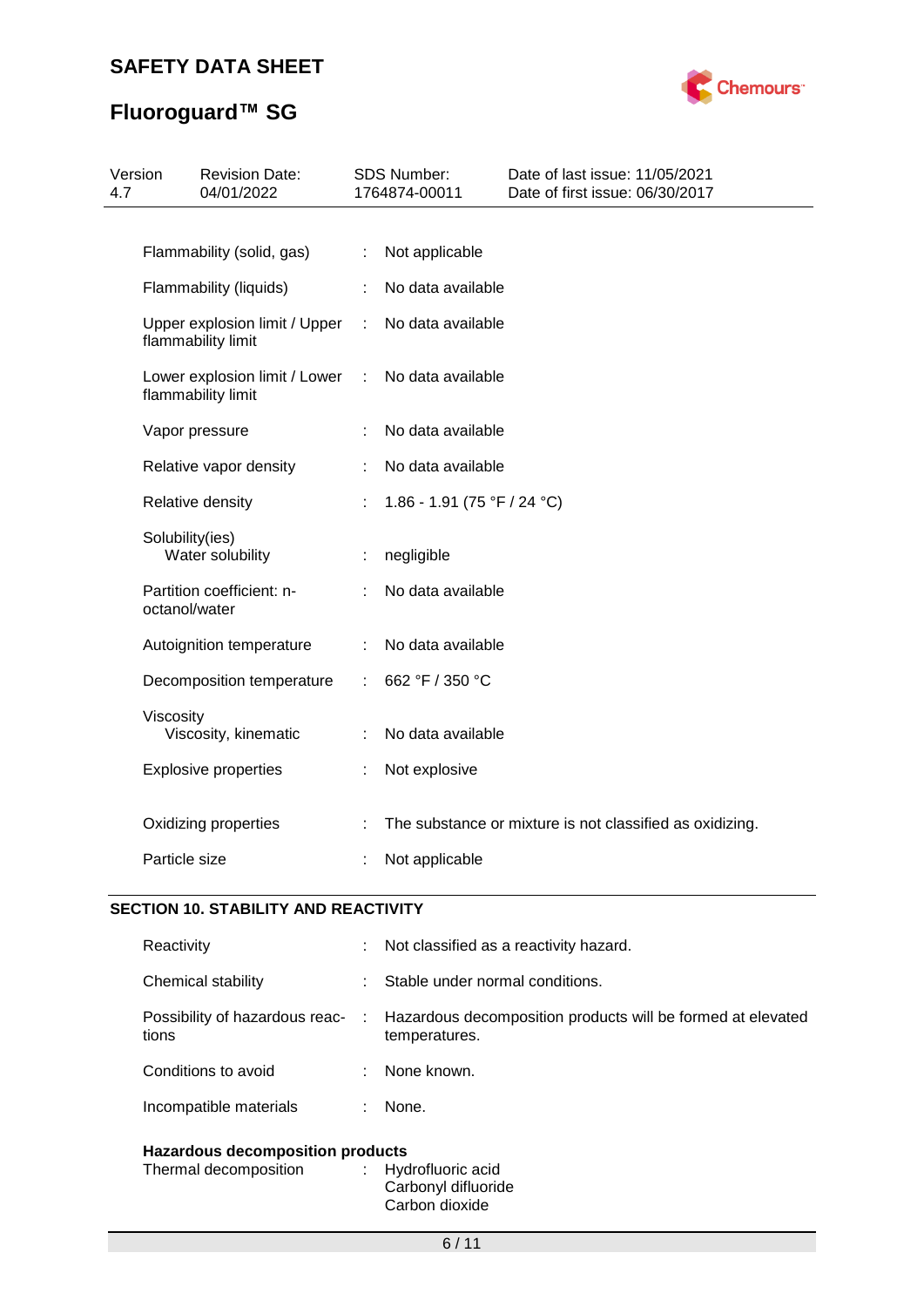

# **Fluoroguard™ SG**

| 4.7 | Version         | <b>Revision Date:</b><br>04/01/2022                 |   | SDS Number:<br>1764874-00011 | Date of last issue: 11/05/2021<br>Date of first issue: 06/30/2017 |
|-----|-----------------|-----------------------------------------------------|---|------------------------------|-------------------------------------------------------------------|
|     |                 |                                                     |   |                              |                                                                   |
|     |                 | Flammability (solid, gas)                           | ÷ | Not applicable               |                                                                   |
|     |                 | Flammability (liquids)                              |   | No data available            |                                                                   |
|     |                 | Upper explosion limit / Upper<br>flammability limit | ÷ | No data available            |                                                                   |
|     |                 | Lower explosion limit / Lower<br>flammability limit | ÷ | No data available            |                                                                   |
|     |                 | Vapor pressure                                      |   | No data available            |                                                                   |
|     |                 | Relative vapor density                              |   | No data available            |                                                                   |
|     |                 | Relative density                                    |   | 1.86 - 1.91 (75 °F / 24 °C)  |                                                                   |
|     | Solubility(ies) | Water solubility                                    |   | negligible                   |                                                                   |
|     | octanol/water   | Partition coefficient: n-                           |   | No data available            |                                                                   |
|     |                 | Autoignition temperature                            | ÷ | No data available            |                                                                   |
|     |                 | Decomposition temperature                           |   | 662 °F / 350 °C              |                                                                   |
|     | Viscosity       | Viscosity, kinematic                                |   | No data available            |                                                                   |
|     |                 | <b>Explosive properties</b>                         |   | Not explosive                |                                                                   |
|     |                 | Oxidizing properties                                |   |                              | The substance or mixture is not classified as oxidizing.          |
|     | Particle size   |                                                     |   | Not applicable               |                                                                   |
|     |                 |                                                     |   |                              |                                                                   |

## **SECTION 10. STABILITY AND REACTIVITY**

| Reactivity                                                                              |               | : Not classified as a reactivity hazard.                                       |  |
|-----------------------------------------------------------------------------------------|---------------|--------------------------------------------------------------------------------|--|
| Chemical stability                                                                      |               | Stable under normal conditions.                                                |  |
| Possibility of hazardous reac-<br>tions                                                 |               | : Hazardous decomposition products will be formed at elevated<br>temperatures. |  |
| Conditions to avoid                                                                     |               | : None known.                                                                  |  |
| Incompatible materials                                                                  | $\mathcal{L}$ | None.                                                                          |  |
| <b>Hazardous decomposition products</b><br>Thermal decomposition<br>: Hydrofluoric acid |               |                                                                                |  |

Carbonyl difluoride Carbon dioxide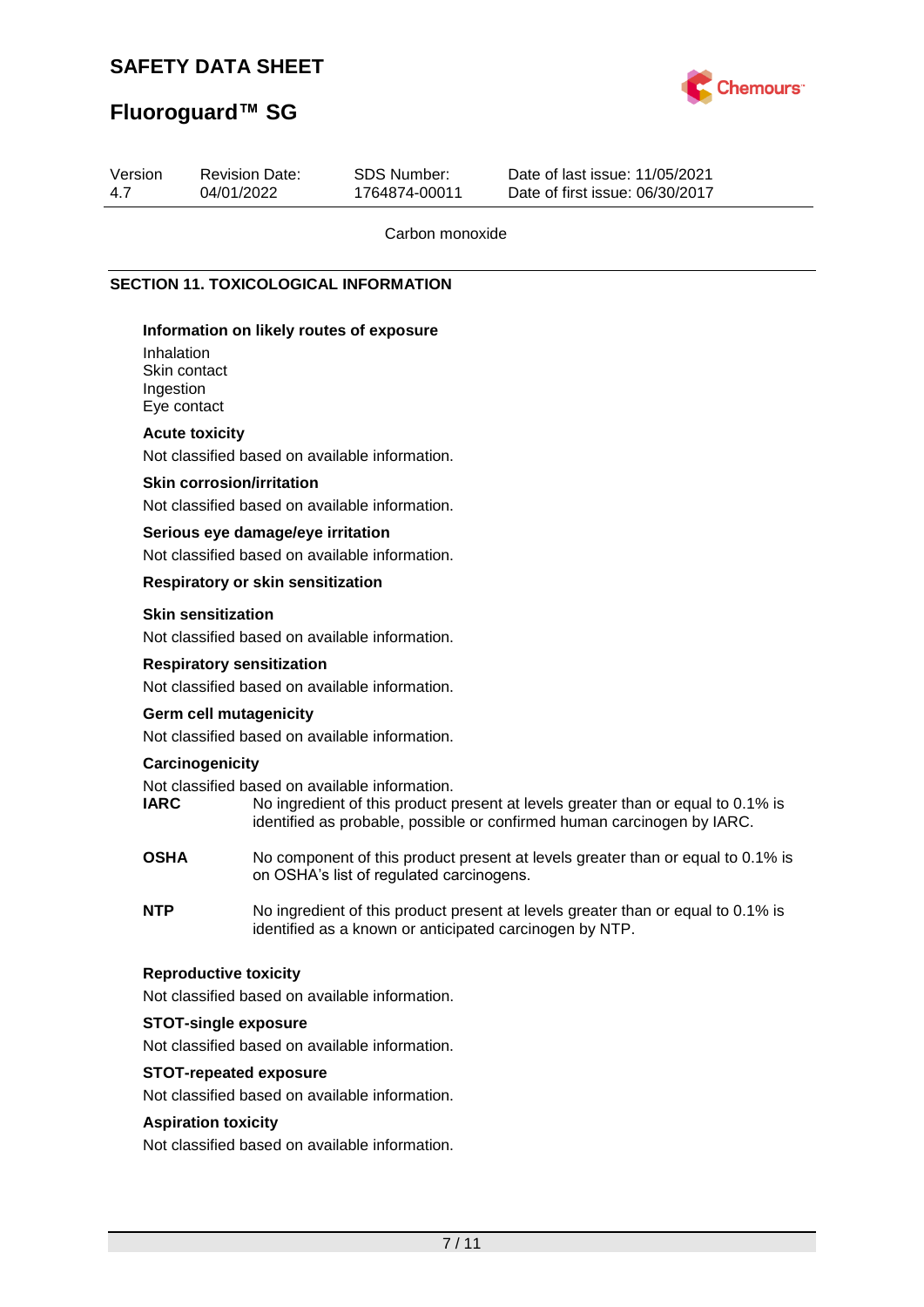

# **Fluoroguard™ SG**

| Version<br>4.7          | <b>Revision Date:</b><br>04/01/2022                                                 | <b>SDS Number:</b><br>1764874-00011 | Date of last issue: 11/05/2021<br>Date of first issue: 06/30/2017                                                                                           |
|-------------------------|-------------------------------------------------------------------------------------|-------------------------------------|-------------------------------------------------------------------------------------------------------------------------------------------------------------|
|                         |                                                                                     | Carbon monoxide                     |                                                                                                                                                             |
|                         | <b>SECTION 11. TOXICOLOGICAL INFORMATION</b>                                        |                                     |                                                                                                                                                             |
| Inhalation<br>Ingestion | Information on likely routes of exposure<br>Skin contact<br>Eye contact             |                                     |                                                                                                                                                             |
|                         | <b>Acute toxicity</b><br>Not classified based on available information.             |                                     |                                                                                                                                                             |
|                         | <b>Skin corrosion/irritation</b><br>Not classified based on available information.  |                                     |                                                                                                                                                             |
|                         | Serious eye damage/eye irritation<br>Not classified based on available information. |                                     |                                                                                                                                                             |
|                         | <b>Respiratory or skin sensitization</b>                                            |                                     |                                                                                                                                                             |
|                         | <b>Skin sensitization</b><br>Not classified based on available information.         |                                     |                                                                                                                                                             |
|                         | <b>Respiratory sensitization</b><br>Not classified based on available information.  |                                     |                                                                                                                                                             |
|                         | <b>Germ cell mutagenicity</b><br>Not classified based on available information.     |                                     |                                                                                                                                                             |
| <b>IARC</b>             | Carcinogenicity<br>Not classified based on available information.                   |                                     | No ingredient of this product present at levels greater than or equal to 0.1% is<br>identified as probable, possible or confirmed human carcinogen by IARC. |

- **OSHA** No component of this product present at levels greater than or equal to 0.1% is on OSHA's list of regulated carcinogens.
- **NTP** No ingredient of this product present at levels greater than or equal to 0.1% is identified as a known or anticipated carcinogen by NTP.

## **Reproductive toxicity**

Not classified based on available information.

#### **STOT-single exposure**

Not classified based on available information.

### **STOT-repeated exposure**

Not classified based on available information.

## **Aspiration toxicity**

Not classified based on available information.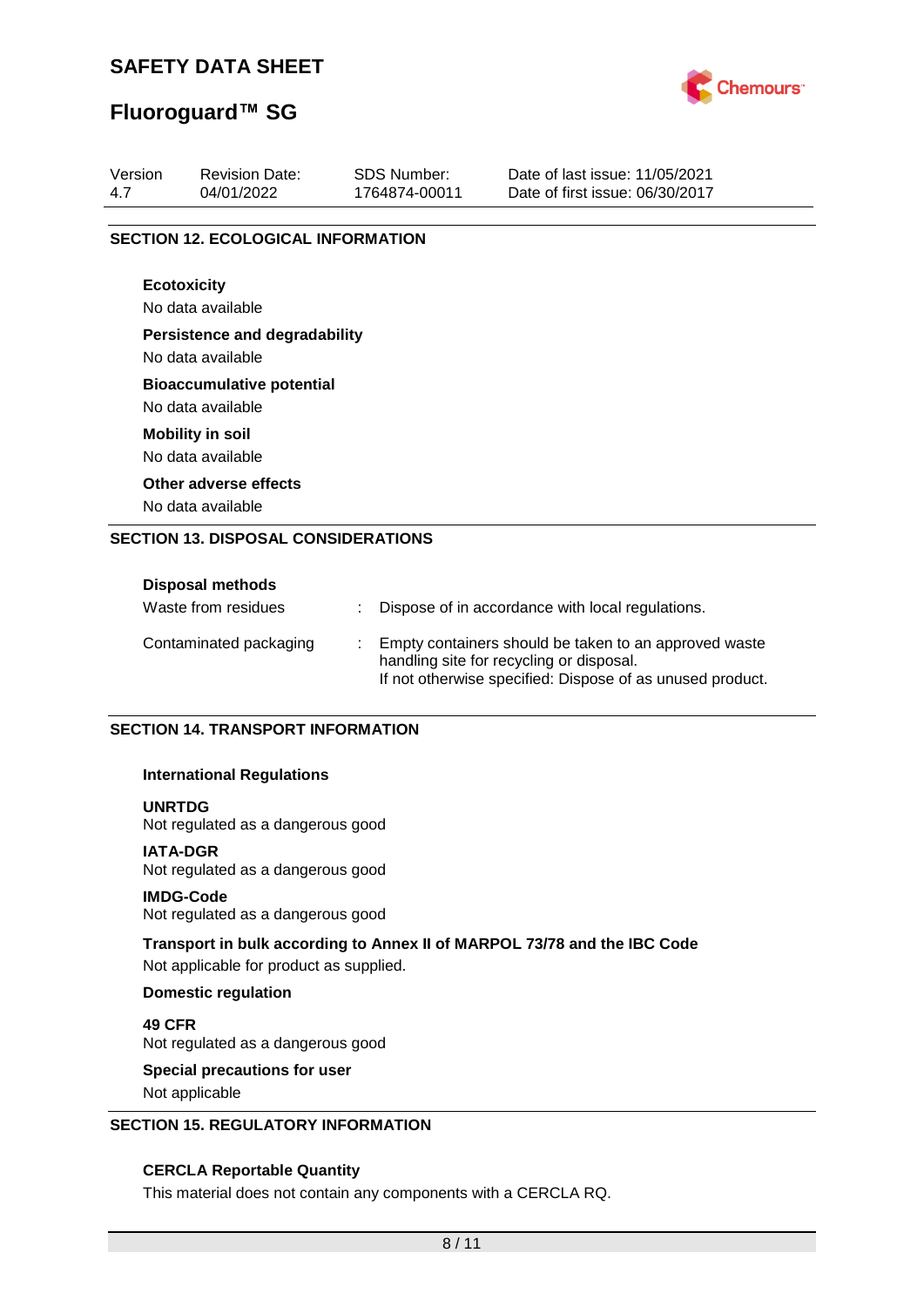

# **Fluoroguard™ SG**

| Version<br>4.7     | <b>Revision Date:</b><br>04/01/2022       | <b>SDS Number:</b><br>1764874-00011 | Date of last issue: 11/05/2021<br>Date of first issue: 06/30/2017 |
|--------------------|-------------------------------------------|-------------------------------------|-------------------------------------------------------------------|
|                    | <b>SECTION 12. ECOLOGICAL INFORMATION</b> |                                     |                                                                   |
|                    |                                           |                                     |                                                                   |
| <b>Ecotoxicity</b> |                                           |                                     |                                                                   |
|                    | No data available                         |                                     |                                                                   |
|                    | <b>Persistence and degradability</b>      |                                     |                                                                   |
|                    | No data available                         |                                     |                                                                   |
|                    | <b>Bioaccumulative potential</b>          |                                     |                                                                   |
|                    | No data available                         |                                     |                                                                   |
|                    | <b>Mobility in soil</b>                   |                                     |                                                                   |
|                    | No data available                         |                                     |                                                                   |
|                    | Other adverse effects                     |                                     |                                                                   |
|                    | No data available                         |                                     |                                                                   |

| <b>DISPOSAL INGUIUUS</b> |                                                                                                                                                                |
|--------------------------|----------------------------------------------------------------------------------------------------------------------------------------------------------------|
| Waste from residues      | Dispose of in accordance with local regulations.                                                                                                               |
| Contaminated packaging   | Empty containers should be taken to an approved waste<br>handling site for recycling or disposal.<br>If not otherwise specified: Dispose of as unused product. |

#### **SECTION 14. TRANSPORT INFORMATION**

#### **International Regulations**

#### **UNRTDG**

Not regulated as a dangerous good

#### **IATA-DGR**

Not regulated as a dangerous good

#### **IMDG-Code**

Not regulated as a dangerous good

#### **Transport in bulk according to Annex II of MARPOL 73/78 and the IBC Code**

Not applicable for product as supplied.

#### **Domestic regulation**

**49 CFR** Not regulated as a dangerous good

# **Special precautions for user**

Not applicable

### **SECTION 15. REGULATORY INFORMATION**

#### **CERCLA Reportable Quantity**

This material does not contain any components with a CERCLA RQ.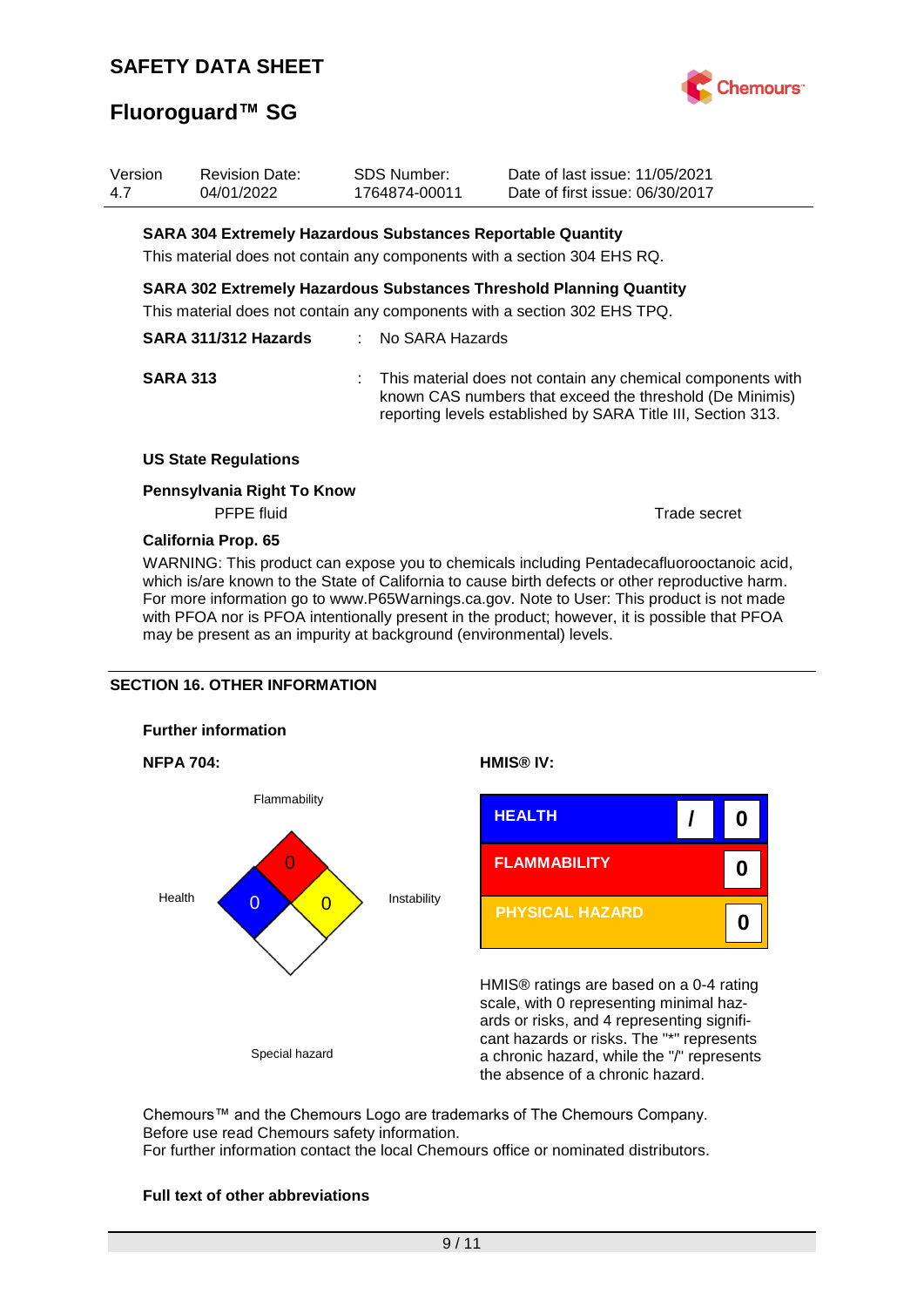

# **Fluoroguard™ SG**

| Version<br>4.7 | <b>Revision Date:</b><br>04/01/2022                         | <b>SDS Number:</b><br>1764874-00011 | Date of last issue: 11/05/2021<br>Date of first issue: 06/30/2017                                                                                                                       |
|----------------|-------------------------------------------------------------|-------------------------------------|-----------------------------------------------------------------------------------------------------------------------------------------------------------------------------------------|
|                | SARA 304 Extremely Hazardous Substances Reportable Quantity |                                     |                                                                                                                                                                                         |
|                |                                                             |                                     | This material does not contain any components with a section 304 EHS RQ.                                                                                                                |
|                |                                                             |                                     | <b>SARA 302 Extremely Hazardous Substances Threshold Planning Quantity</b>                                                                                                              |
|                |                                                             |                                     | This material does not contain any components with a section 302 EHS TPQ.                                                                                                               |
|                | SARA 311/312 Hazards                                        | : No SARA Hazards                   |                                                                                                                                                                                         |
|                | <b>SARA 313</b>                                             |                                     | This material does not contain any chemical components with<br>known CAS numbers that exceed the threshold (De Minimis)<br>reporting levels established by SARA Title III, Section 313. |
|                | <b>US State Regulations</b>                                 |                                     |                                                                                                                                                                                         |
|                | Pennsylvania Right To Know<br><b>PFPE</b> fluid             |                                     | Trade secret                                                                                                                                                                            |
|                |                                                             |                                     |                                                                                                                                                                                         |

#### **California Prop. 65**

WARNING: This product can expose you to chemicals including Pentadecafluorooctanoic acid, which is/are known to the State of California to cause birth defects or other reproductive harm. For more information go to www.P65Warnings.ca.gov. Note to User: This product is not made with PFOA nor is PFOA intentionally present in the product; however, it is possible that PFOA may be present as an impurity at background (environmental) levels.

#### **SECTION 16. OTHER INFORMATION**





HMIS® ratings are based on a 0-4 rating scale, with 0 representing minimal hazards or risks, and 4 representing significant hazards or risks. The "\*" represents a chronic hazard, while the "/" represents the absence of a chronic hazard.

Chemours™ and the Chemours Logo are trademarks of The Chemours Company. Before use read Chemours safety information. For further information contact the local Chemours office or nominated distributors.

#### **Full text of other abbreviations**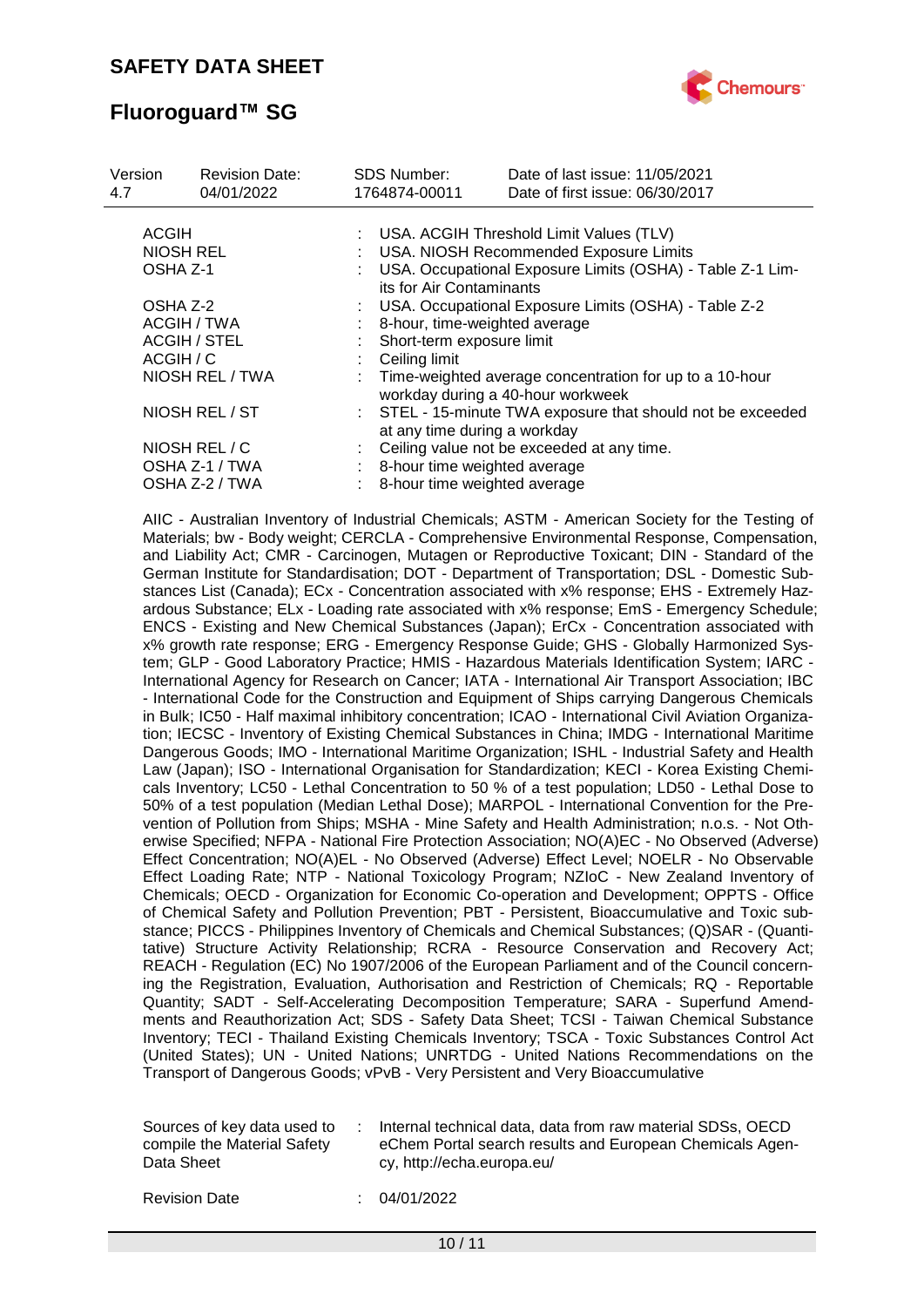

# **Fluoroguard™ SG**

| Version<br>4.7      | <b>Revision Date:</b><br>04/01/2022 |                               | <b>SDS Number:</b><br>1764874-00011                                                       | Date of last issue: 11/05/2021<br>Date of first issue: 06/30/2017                              |  |  |  |
|---------------------|-------------------------------------|-------------------------------|-------------------------------------------------------------------------------------------|------------------------------------------------------------------------------------------------|--|--|--|
| <b>ACGIH</b>        |                                     |                               |                                                                                           | : USA. ACGIH Threshold Limit Values (TLV)                                                      |  |  |  |
| NIOSH REL           |                                     |                               |                                                                                           | USA. NIOSH Recommended Exposure Limits                                                         |  |  |  |
| OSHA Z-1            |                                     |                               | USA. Occupational Exposure Limits (OSHA) - Table Z-1 Lim-<br>its for Air Contaminants     |                                                                                                |  |  |  |
|                     | OSHA Z-2                            |                               |                                                                                           | USA. Occupational Exposure Limits (OSHA) - Table Z-2                                           |  |  |  |
| ACGIH / TWA         |                                     | 8-hour, time-weighted average |                                                                                           |                                                                                                |  |  |  |
| <b>ACGIH / STEL</b> |                                     |                               |                                                                                           | Short-term exposure limit                                                                      |  |  |  |
|                     | ACGIH / C                           |                               | Ceiling limit                                                                             |                                                                                                |  |  |  |
|                     | NIOSH REL / TWA                     |                               |                                                                                           | : Time-weighted average concentration for up to a 10-hour<br>workday during a 40-hour workweek |  |  |  |
|                     | NIOSH REL / ST                      |                               | STEL - 15-minute TWA exposure that should not be exceeded<br>at any time during a workday |                                                                                                |  |  |  |
|                     | NIOSH REL / C                       |                               |                                                                                           | Ceiling value not be exceeded at any time.                                                     |  |  |  |
|                     | OSHA Z-1 / TWA                      |                               | 8-hour time weighted average                                                              |                                                                                                |  |  |  |
|                     | OSHA Z-2 / TWA                      |                               | 8-hour time weighted average                                                              |                                                                                                |  |  |  |

AIIC - Australian Inventory of Industrial Chemicals; ASTM - American Society for the Testing of Materials; bw - Body weight; CERCLA - Comprehensive Environmental Response, Compensation, and Liability Act; CMR - Carcinogen, Mutagen or Reproductive Toxicant; DIN - Standard of the German Institute for Standardisation; DOT - Department of Transportation; DSL - Domestic Substances List (Canada); ECx - Concentration associated with x% response; EHS - Extremely Hazardous Substance; ELx - Loading rate associated with x% response; EmS - Emergency Schedule; ENCS - Existing and New Chemical Substances (Japan); ErCx - Concentration associated with x% growth rate response; ERG - Emergency Response Guide; GHS - Globally Harmonized System; GLP - Good Laboratory Practice; HMIS - Hazardous Materials Identification System; IARC - International Agency for Research on Cancer; IATA - International Air Transport Association; IBC - International Code for the Construction and Equipment of Ships carrying Dangerous Chemicals in Bulk; IC50 - Half maximal inhibitory concentration; ICAO - International Civil Aviation Organization; IECSC - Inventory of Existing Chemical Substances in China; IMDG - International Maritime Dangerous Goods; IMO - International Maritime Organization; ISHL - Industrial Safety and Health Law (Japan); ISO - International Organisation for Standardization; KECI - Korea Existing Chemicals Inventory; LC50 - Lethal Concentration to 50 % of a test population; LD50 - Lethal Dose to 50% of a test population (Median Lethal Dose); MARPOL - International Convention for the Prevention of Pollution from Ships; MSHA - Mine Safety and Health Administration; n.o.s. - Not Otherwise Specified; NFPA - National Fire Protection Association; NO(A)EC - No Observed (Adverse) Effect Concentration; NO(A)EL - No Observed (Adverse) Effect Level; NOELR - No Observable Effect Loading Rate; NTP - National Toxicology Program; NZIoC - New Zealand Inventory of Chemicals; OECD - Organization for Economic Co-operation and Development; OPPTS - Office of Chemical Safety and Pollution Prevention; PBT - Persistent, Bioaccumulative and Toxic substance; PICCS - Philippines Inventory of Chemicals and Chemical Substances; (Q)SAR - (Quantitative) Structure Activity Relationship; RCRA - Resource Conservation and Recovery Act; REACH - Regulation (EC) No 1907/2006 of the European Parliament and of the Council concerning the Registration, Evaluation, Authorisation and Restriction of Chemicals; RQ - Reportable Quantity; SADT - Self-Accelerating Decomposition Temperature; SARA - Superfund Amendments and Reauthorization Act; SDS - Safety Data Sheet; TCSI - Taiwan Chemical Substance Inventory; TECI - Thailand Existing Chemicals Inventory; TSCA - Toxic Substances Control Act (United States); UN - United Nations; UNRTDG - United Nations Recommendations on the Transport of Dangerous Goods; vPvB - Very Persistent and Very Bioaccumulative

| Sources of key data used to<br>compile the Material Safety<br>Data Sheet | Internal technical data, data from raw material SDSs, OECD<br>eChem Portal search results and European Chemicals Agen-<br>cy, http://echa.europa.eu/ |
|--------------------------------------------------------------------------|------------------------------------------------------------------------------------------------------------------------------------------------------|
|                                                                          |                                                                                                                                                      |

Revision Date : 04/01/2022